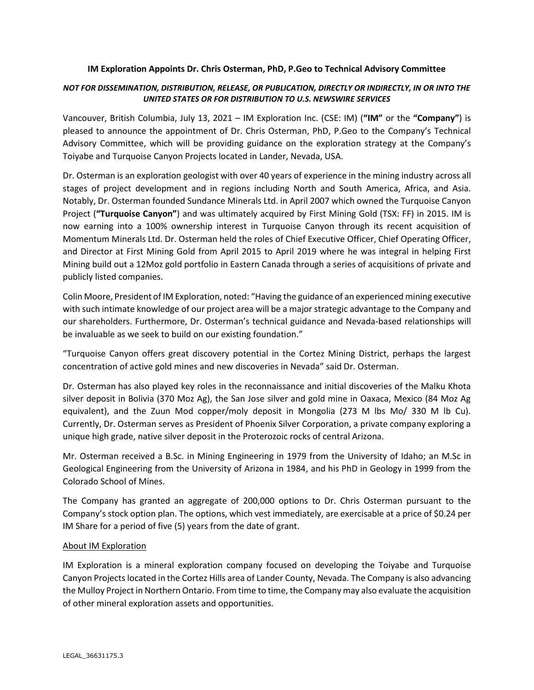## **IM Exploration Appoints Dr. Chris Osterman, PhD, P.Geo to Technical Advisory Committee**

## *NOT FOR DISSEMINATION, DISTRIBUTION, RELEASE, OR PUBLICATION, DIRECTLY OR INDIRECTLY, IN OR INTO THE UNITED STATES OR FOR DISTRIBUTION TO U.S. NEWSWIRE SERVICES*

Vancouver, British Columbia, July 13, 2021 – IM Exploration Inc. (CSE: IM) (**"IM"** or the **"Company"**) is pleased to announce the appointment of Dr. Chris Osterman, PhD, P.Geo to the Company's Technical Advisory Committee, which will be providing guidance on the exploration strategy at the Company's Toiyabe and Turquoise Canyon Projects located in Lander, Nevada, USA.

Dr. Osterman is an exploration geologist with over 40 years of experience in the mining industry across all stages of project development and in regions including North and South America, Africa, and Asia. Notably, Dr. Osterman founded Sundance Minerals Ltd. in April 2007 which owned the Turquoise Canyon Project (**"Turquoise Canyon"**) and was ultimately acquired by First Mining Gold (TSX: FF) in 2015. IM is now earning into a 100% ownership interest in Turquoise Canyon through its recent acquisition of Momentum Minerals Ltd. Dr. Osterman held the roles of Chief Executive Officer, Chief Operating Officer, and Director at First Mining Gold from April 2015 to April 2019 where he was integral in helping First Mining build out a 12Moz gold portfolio in Eastern Canada through a series of acquisitions of private and publicly listed companies.

Colin Moore, President of IM Exploration, noted: "Having the guidance of an experienced mining executive with such intimate knowledge of our project area will be a major strategic advantage to the Company and our shareholders. Furthermore, Dr. Osterman's technical guidance and Nevada-based relationships will be invaluable as we seek to build on our existing foundation."

"Turquoise Canyon offers great discovery potential in the Cortez Mining District, perhaps the largest concentration of active gold mines and new discoveries in Nevada" said Dr. Osterman.

Dr. Osterman has also played key roles in the reconnaissance and initial discoveries of the Malku Khota silver deposit in Bolivia (370 Moz Ag), the San Jose silver and gold mine in Oaxaca, Mexico (84 Moz Ag equivalent), and the Zuun Mod copper/moly deposit in Mongolia (273 M lbs Mo/ 330 M lb Cu). Currently, Dr. Osterman serves as President of Phoenix Silver Corporation, a private company exploring a unique high grade, native silver deposit in the Proterozoic rocks of central Arizona.

Mr. Osterman received a B.Sc. in Mining Engineering in 1979 from the University of Idaho; an M.Sc in Geological Engineering from the University of Arizona in 1984, and his PhD in Geology in 1999 from the Colorado School of Mines.

The Company has granted an aggregate of 200,000 options to Dr. Chris Osterman pursuant to the Company's stock option plan. The options, which vest immediately, are exercisable at a price of \$0.24 per IM Share for a period of five (5) years from the date of grant.

## About IM Exploration

IM Exploration is a mineral exploration company focused on developing the Toiyabe and Turquoise Canyon Projects located in the Cortez Hills area of Lander County, Nevada. The Company is also advancing the Mulloy Project in Northern Ontario. From time to time, the Company may also evaluate the acquisition of other mineral exploration assets and opportunities.